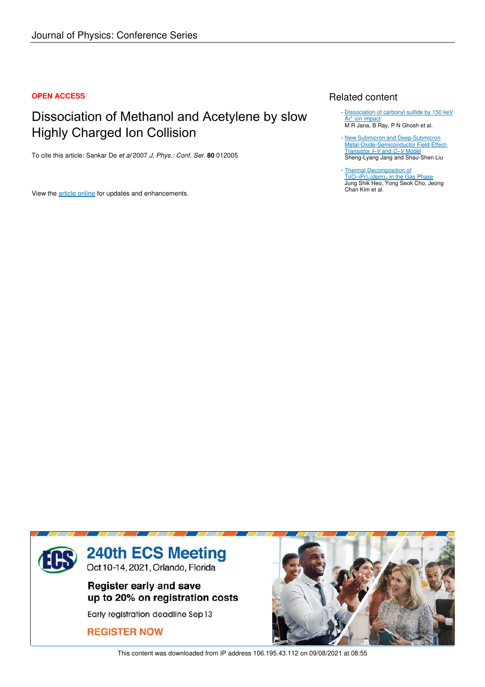### **OPEN ACCESS**

## Dissociation of Methanol and Acetylene by slow Highly Charged Ion Collision

To cite this article: Sankar De *et al* 2007 *J. Phys.: Conf. Ser.* **80** 012005

View the article online for updates and enhancements.

## Related content

- Dissociation of carbonyl sulfide by 150 keV Ar<sup>+</sup> ion impact M R Jana, B Ray, P N Ghosh et al.
- New Submicron and Deep-Submicron Metal-Oxide-Semiconductor Field-Effect-Transistor *I*–*V* and *C*–*V* Model Sheng-Lyang Jang and Shau-Shen Liu -
- Thermal Decomposition of <u>Ti(O–iPr)<sub>2</sub>(dpm)<sub>2</sub> in the Gas Phase</u> Jung Shik Heo, Yong Seok Cho, Jeong Chan Kim et al. -



This content was downloaded from IP address 106.195.43.112 on 09/08/2021 at 08:55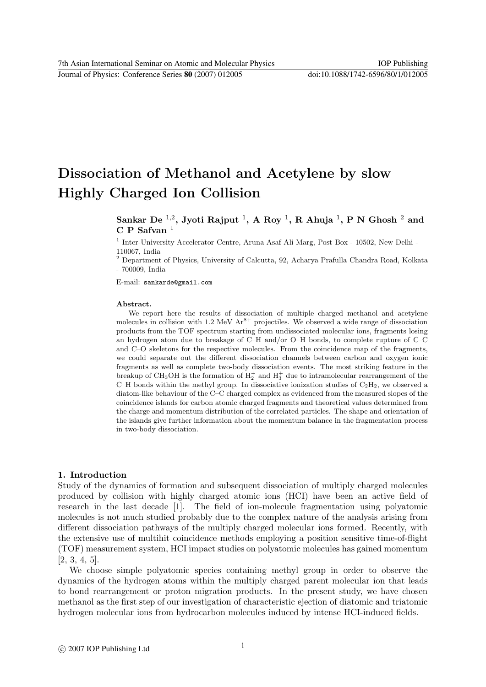Journal of Physics: Conference Series **80** (2007) 012005 doi:10.1088/1742-6596/80/1/012005

# Dissociation of Methanol and Acetylene by slow Highly Charged Ion Collision

## Sankar De  $^{1,2}$ , Jyoti Rajput  $^{1}$ , A Roy  $^{1}$ , R Ahuja  $^{1}$ , P N Ghosh  $^{2}$  and  $C P$  Safvan<sup>1</sup>

<sup>1</sup> Inter-University Accelerator Centre, Aruna Asaf Ali Marg, Post Box - 10502, New Delhi -110067, India

 $^{\rm 2}$  Department of Physics, University of Calcutta, 92, Acharya Prafulla Chandra Road, Kolkata - 700009, India

E-mail: sankarde@gmail.com

#### Abstract.

We report here the results of dissociation of multiple charged methanol and acetylene molecules in collision with 1.2 MeV  $Ar^{8+}$  projectiles. We observed a wide range of dissociation products from the TOF spectrum starting from undissociated molecular ions, fragments losing an hydrogen atom due to breakage of C–H and/or O–H bonds, to complete rupture of C–C and C–O skeletons for the respective molecules. From the coincidence map of the fragments, we could separate out the different dissociation channels between carbon and oxygen ionic fragments as well as complete two-body dissociation events. The most striking feature in the breakup of CH<sub>3</sub>OH is the formation of  $H_2^+$  and  $H_3^+$  due to intramolecular rearrangement of the C–H bonds within the methyl group. In dissociative ionization studies of  $C_2H_2$ , we observed a diatom-like behaviour of the C–C charged complex as evidenced from the measured slopes of the coincidence islands for carbon atomic charged fragments and theoretical values determined from the charge and momentum distribution of the correlated particles. The shape and orientation of the islands give further information about the momentum balance in the fragmentation process in two-body dissociation.

#### 1. Introduction

Study of the dynamics of formation and subsequent dissociation of multiply charged molecules produced by collision with highly charged atomic ions (HCI) have been an active field of research in the last decade [1]. The field of ion-molecule fragmentation using polyatomic molecules is not much studied probably due to the complex nature of the analysis arising from different dissociation pathways of the multiply charged molecular ions formed. Recently, with the extensive use of multihit coincidence methods employing a position sensitive time-of-flight (TOF) measurement system, HCI impact studies on polyatomic molecules has gained momentum [2, 3, 4, 5].

We choose simple polyatomic species containing methyl group in order to observe the dynamics of the hydrogen atoms within the multiply charged parent molecular ion that leads to bond rearrangement or proton migration products. In the present study, we have chosen methanol as the first step of our investigation of characteristic ejection of diatomic and triatomic hydrogen molecular ions from hydrocarbon molecules induced by intense HCI-induced fields.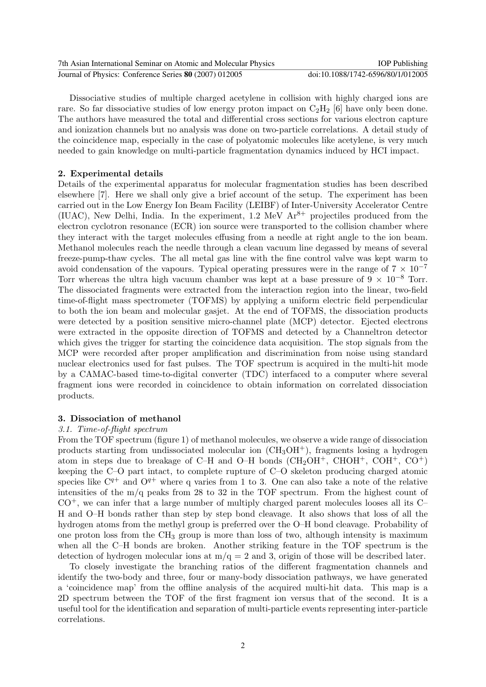| 7th Asian International Seminar on Atomic and Molecular Physics | <b>IOP</b> Publishing             |
|-----------------------------------------------------------------|-----------------------------------|
| Journal of Physics: Conference Series 80 (2007) 012005          | doi:10.1088/1742-6596/80/1/012005 |

Dissociative studies of multiple charged acetylene in collision with highly charged ions are rare. So far dissociative studies of low energy proton impact on  $C_2H_2$  [6] have only been done. The authors have measured the total and differential cross sections for various electron capture and ionization channels but no analysis was done on two-particle correlations. A detail study of the coincidence map, especially in the case of polyatomic molecules like acetylene, is very much needed to gain knowledge on multi-particle fragmentation dynamics induced by HCI impact.

#### 2. Experimental details

Details of the experimental apparatus for molecular fragmentation studies has been described elsewhere [7]. Here we shall only give a brief account of the setup. The experiment has been carried out in the Low Energy Ion Beam Facility (LEIBF) of Inter-University Accelerator Centre (IUAC), New Delhi, India. In the experiment, 1.2 MeV  $Ar^{8+}$  projectiles produced from the electron cyclotron resonance (ECR) ion source were transported to the collision chamber where they interact with the target molecules effusing from a needle at right angle to the ion beam. Methanol molecules reach the needle through a clean vacuum line degassed by means of several freeze-pump-thaw cycles. The all metal gas line with the fine control valve was kept warm to avoid condensation of the vapours. Typical operating pressures were in the range of  $7 \times 10^{-7}$ Torr whereas the ultra high vacuum chamber was kept at a base pressure of  $9 \times 10^{-8}$  Torr. The dissociated fragments were extracted from the interaction region into the linear, two-field time-of-flight mass spectrometer (TOFMS) by applying a uniform electric field perpendicular to both the ion beam and molecular gasjet. At the end of TOFMS, the dissociation products were detected by a position sensitive micro-channel plate (MCP) detector. Ejected electrons were extracted in the opposite direction of TOFMS and detected by a Channeltron detector which gives the trigger for starting the coincidence data acquisition. The stop signals from the MCP were recorded after proper amplification and discrimination from noise using standard nuclear electronics used for fast pulses. The TOF spectrum is acquired in the multi-hit mode by a CAMAC-based time-to-digital converter (TDC) interfaced to a computer where several fragment ions were recorded in coincidence to obtain information on correlated dissociation products.

#### 3. Dissociation of methanol

#### 3.1. Time-of-flight spectrum

From the TOF spectrum (figure 1) of methanol molecules, we observe a wide range of dissociation products starting from undissociated molecular ion  $(\text{CH}_3\text{OH}^+)$ , fragments losing a hydrogen atom in steps due to breakage of C–H and O–H bonds  $(CH_2OH^+$ , CHOH<sup>+</sup>, COH<sup>+</sup>, CO<sup>+</sup>) keeping the C–O part intact, to complete rupture of C–O skeleton producing charged atomic species like  $C^{q+}$  and  $O^{q+}$  where q varies from 1 to 3. One can also take a note of the relative intensities of the m/q peaks from 28 to 32 in the TOF spectrum. From the highest count of  $CO<sup>+</sup>$ , we can infer that a large number of multiply charged parent molecules looses all its  $C<sup>-</sup>$ H and O–H bonds rather than step by step bond cleavage. It also shows that loss of all the hydrogen atoms from the methyl group is preferred over the O–H bond cleavage. Probability of one proton loss from the  $CH_3$  group is more than loss of two, although intensity is maximum when all the C–H bonds are broken. Another striking feature in the TOF spectrum is the detection of hydrogen molecular ions at  $m/q = 2$  and 3, origin of those will be described later.

To closely investigate the branching ratios of the different fragmentation channels and identify the two-body and three, four or many-body dissociation pathways, we have generated a 'coincidence map' from the offline analysis of the acquired multi-hit data. This map is a 2D spectrum between the TOF of the first fragment ion versus that of the second. It is a useful tool for the identification and separation of multi-particle events representing inter-particle correlations.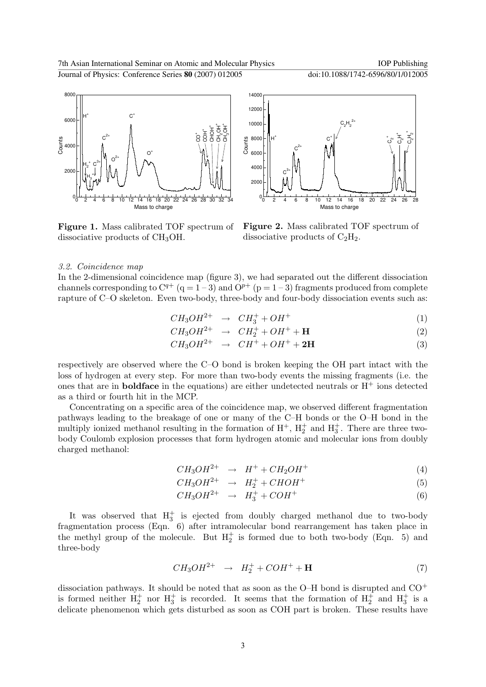

Figure 1. Mass calibrated TOF spectrum of dissociative products of CH3OH.



Figure 2. Mass calibrated TOF spectrum of dissociative products of  $C_2H_2$ .

#### 3.2. Coincidence map

In the 2-dimensional coincidence map (figure 3), we had separated out the different dissociation channels corresponding to  $C^{q+}$  (q = 1 – 3) and  $O^{p+}$  (p = 1 – 3) fragments produced from complete rapture of C–O skeleton. Even two-body, three-body and four-body dissociation events such as:

$$
CH_3OH^{2+} \rightarrow CH_3^+ + OH^+ \tag{1}
$$

$$
CH_3OH^{2+} \rightarrow CH_2^+ + OH^+ + \mathbf{H}
$$
 (2)

$$
CH_3OH^{2+} \rightarrow CH^+ + OH^+ + 2H \tag{3}
$$

respectively are observed where the C–O bond is broken keeping the OH part intact with the loss of hydrogen at every step. For more than two-body events the missing fragments (i.e. the ones that are in **boldface** in the equations) are either undetected neutrals or  $H^+$  ions detected as a third or fourth hit in the MCP.

Concentrating on a specific area of the coincidence map, we observed different fragmentation pathways leading to the breakage of one or many of the C–H bonds or the O–H bond in the multiply ionized methanol resulting in the formation of  $H^+$ ,  $H_2^+$  and  $H_3^+$ . There are three twobody Coulomb explosion processes that form hydrogen atomic and molecular ions from doubly charged methanol:

$$
CH_3OH^{2+} \rightarrow H^+ + CH_2OH^+ \tag{4}
$$

$$
CH_3OH^{2+} \rightarrow H_2^+ + CHOH^+ \tag{5}
$$

$$
CH_3OH^{2+} \rightarrow H_3^+ + COH^+ \tag{6}
$$

It was observed that  $H_3^+$  is ejected from doubly charged methanol due to two-body fragmentation process (Eqn. 6) after intramolecular bond rearrangement has taken place in the methyl group of the molecule. But  $H_2^+$  is formed due to both two-body (Eqn. 5) and three-body

$$
CH_3OH^{2+} \rightarrow H_2^+ + COH^+ + \mathbf{H}
$$
 (7)

dissociation pathways. It should be noted that as soon as the  $O-H$  bond is disrupted and  $CO^+$ is formed neither  $H_2^+$  nor  $H_3^+$  is recorded. It seems that the formation of  $H_2^+$  and  $H_3^+$  is a delicate phenomenon which gets disturbed as soon as COH part is broken. These results have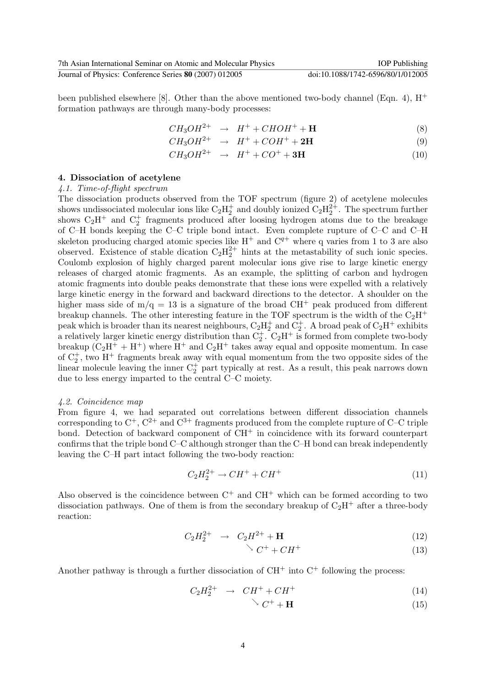been published elsewhere [8]. Other than the above mentioned two-body channel (Eqn. 4),  $H^+$ formation pathways are through many-body processes:

$$
CH_3OH^{2+} \rightarrow H^+ + CHOH^+ + \mathbf{H}
$$
 (8)

$$
CH_3OH^{2+} \rightarrow H^+ + COH^+ + 2H \tag{9}
$$

$$
CH_3OH^{2+} \rightarrow H^+ + CO^+ + 3H \tag{10}
$$

#### 4. Dissociation of acetylene

#### 4.1. Time-of-flight spectrum

The dissociation products observed from the TOF spectrum (figure 2) of acetylene molecules shows undissociated molecular ions like  $C_2H_2^+$  and doubly ionized  $C_2H_2^{2+}$ . The spectrum further shows  $C_2H^+$  and  $C_2^+$  fragments produced after loosing hydrogen atoms due to the breakage of C–H bonds keeping the C–C triple bond intact. Even complete rupture of C–C and C–H skeleton producing charged atomic species like  $H^+$  and  $C^{q+}$  where q varies from 1 to 3 are also observed. Existence of stable dication  $C_2H_2^{2+}$  hints at the metastability of such ionic species. Coulomb explosion of highly charged parent molecular ions give rise to large kinetic energy releases of charged atomic fragments. As an example, the splitting of carbon and hydrogen atomic fragments into double peaks demonstrate that these ions were expelled with a relatively large kinetic energy in the forward and backward directions to the detector. A shoulder on the higher mass side of  $m/q = 13$  is a signature of the broad CH<sup>+</sup> peak produced from different breakup channels. The other interesting feature in the TOF spectrum is the width of the  $C_2H^+$ peak which is broader than its nearest neighbours,  $C_2H_2^+$  and  $C_2^+$ . A broad peak of  $C_2H^+$  exhibits a relatively larger kinetic energy distribution than  $C_2^+$ .  $C_2H^+$  is formed from complete two-body breakup  $(C_2H^+ + H^+)$  where  $H^+$  and  $C_2H^+$  takes away equal and opposite momentum. In case of  $C_2^+$ , two H<sup>+</sup> fragments break away with equal momentum from the two opposite sides of the linear molecule leaving the inner  $C_2^+$  part typically at rest. As a result, this peak narrows down due to less energy imparted to the central C–C moiety.

#### 4.2. Coincidence map

From figure 4, we had separated out correlations between different dissociation channels corresponding to  $C^+$ ,  $C^{2+}$  and  $C^{3+}$  fragments produced from the complete rupture of C–C triple bond. Detection of backward component of  $CH<sup>+</sup>$  in coincidence with its forward counterpart confirms that the triple bond C–C although stronger than the C–H bond can break independently leaving the C–H part intact following the two-body reaction:

$$
C_2H_2^{2+} \to CH^+ + CH^+ \tag{11}
$$

Also observed is the coincidence between  $C^+$  and  $CH^+$  which can be formed according to two dissociation pathways. One of them is from the secondary breakup of  $C_2H^+$  after a three-body reaction:

$$
C_2 H_2^{2+} \to C_2 H^{2+} + \mathbf{H} \tag{12}
$$

$$
\searrow C^+ + CH^+ \tag{13}
$$

Another pathway is through a further dissociation of  $CH^+$  into  $C^+$  following the process:

$$
C_2H_2^{2+} \to CH^+ + CH^+ \tag{14}
$$

$$
\searrow C^+ + \mathbf{H} \tag{15}
$$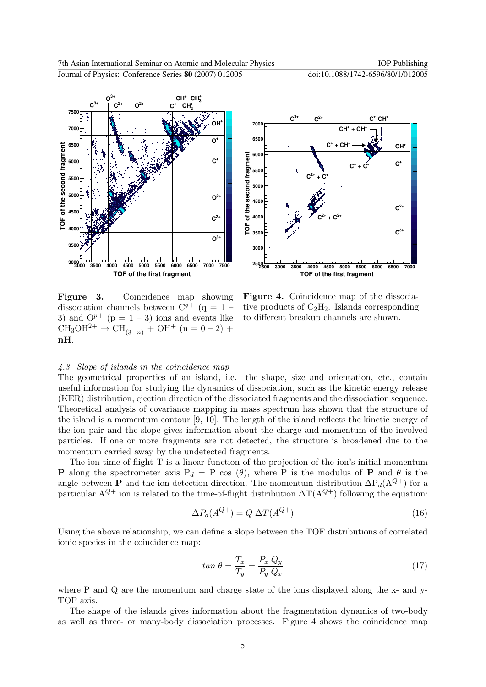



Figure 3. Coincidence map showing dissociation channels between  $C^{q+}$  (q = 1 – 3) and  $O^{p+}$  (p = 1 – 3) ions and events like  $CH_3OH^{2+} \rightarrow CH^+_{(3-n)} + OH^+$  (n = 0 – 2) + nH.

Figure 4. Coincidence map of the dissociative products of  $C_2H_2$ . Islands corresponding to different breakup channels are shown.

#### 4.3. Slope of islands in the coincidence map

The geometrical properties of an island, i.e. the shape, size and orientation, etc., contain useful information for studying the dynamics of dissociation, such as the kinetic energy release (KER) distribution, ejection direction of the dissociated fragments and the dissociation sequence. Theoretical analysis of covariance mapping in mass spectrum has shown that the structure of the island is a momentum contour [9, 10]. The length of the island reflects the kinetic energy of the ion pair and the slope gives information about the charge and momentum of the involved particles. If one or more fragments are not detected, the structure is broadened due to the momentum carried away by the undetected fragments.

The ion time-of-flight T is a linear function of the projection of the ion's initial momentum **P** along the spectrometer axis  $P_d = P$  cos  $(\theta)$ , where P is the modulus of **P** and  $\theta$  is the angle between **P** and the ion detection direction. The momentum distribution  $\Delta P_d(A^{Q+})$  for a particular  $A^{Q+}$  ion is related to the time-of-flight distribution  $\Delta T(A^{Q+})$  following the equation:

$$
\Delta P_d(A^{Q+}) = Q \,\Delta T(A^{Q+}) \tag{16}
$$

Using the above relationship, we can define a slope between the TOF distributions of correlated ionic species in the coincidence map:

$$
tan \theta = \frac{T_x}{T_y} = \frac{P_x Q_y}{P_y Q_x} \tag{17}
$$

where P and Q are the momentum and charge state of the ions displayed along the x- and y-TOF axis.

The shape of the islands gives information about the fragmentation dynamics of two-body as well as three- or many-body dissociation processes. Figure 4 shows the coincidence map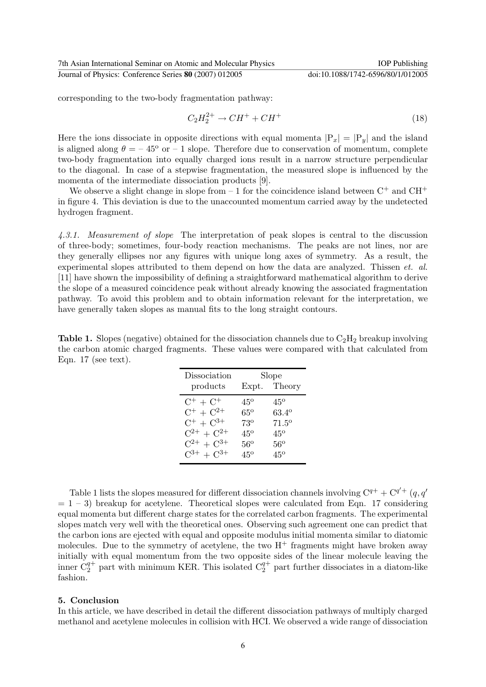corresponding to the two-body fragmentation pathway:

$$
C_2H_2^{2+} \to CH^+ + CH^+ \tag{18}
$$

Here the ions dissociate in opposite directions with equal momenta  $|P_x| = |P_y|$  and the island is aligned along  $\theta = -45^{\circ}$  or  $-1$  slope. Therefore due to conservation of momentum, complete two-body fragmentation into equally charged ions result in a narrow structure perpendicular to the diagonal. In case of a stepwise fragmentation, the measured slope is influenced by the momenta of the intermediate dissociation products [9].

We observe a slight change in slope from  $-1$  for the coincidence island between  $C^+$  and  $CH^+$ in figure 4. This deviation is due to the unaccounted momentum carried away by the undetected hydrogen fragment.

4.3.1. Measurement of slope The interpretation of peak slopes is central to the discussion of three-body; sometimes, four-body reaction mechanisms. The peaks are not lines, nor are they generally ellipses nor any figures with unique long axes of symmetry. As a result, the experimental slopes attributed to them depend on how the data are analyzed. Thissen *et. al.* [11] have shown the impossibility of defining a straightforward mathematical algorithm to derive the slope of a measured coincidence peak without already knowing the associated fragmentation pathway. To avoid this problem and to obtain information relevant for the interpretation, we have generally taken slopes as manual fits to the long straight contours.

**Table 1.** Slopes (negative) obtained for the dissociation channels due to  $C_2H_2$  breakup involving the carbon atomic charged fragments. These values were compared with that calculated from Eqn. 17 (see text).

| Dissociation      | Slope        |                   |
|-------------------|--------------|-------------------|
| products          | Expt.        | Theory            |
| $C^+ + C^+$       | 45°          | 45°               |
| $C^+ + C^{2+}$    | $65^{\circ}$ | 63.4°             |
| $C^+ + C^{3+}$    | 73°          | $71.5^\mathrm{o}$ |
| $C^{2+} + C^{2+}$ | $45^\circ$   | $45^{\circ}$      |
| $C^{2+} + C^{3+}$ | 56°          | $56^{\circ}$      |
| $C^{3+} + C^{3+}$ | 45°          | 45°               |

Table 1 lists the slopes measured for different dissociation channels involving  $C^{q+} + C^{q'+}(q, q')$  $= 1 - 3$ ) breakup for acetylene. Theoretical slopes were calculated from Eqn. 17 considering equal momenta but different charge states for the correlated carbon fragments. The experimental slopes match very well with the theoretical ones. Observing such agreement one can predict that the carbon ions are ejected with equal and opposite modulus initial momenta similar to diatomic molecules. Due to the symmetry of acetylene, the two  $H^+$  fragments might have broken away initially with equal momentum from the two opposite sides of the linear molecule leaving the inner  $C_2^{q+}$  part with minimum KER. This isolated  $C_2^{q+}$  part further dissociates in a diatom-like fashion.

#### 5. Conclusion

In this article, we have described in detail the different dissociation pathways of multiply charged methanol and acetylene molecules in collision with HCI. We observed a wide range of dissociation